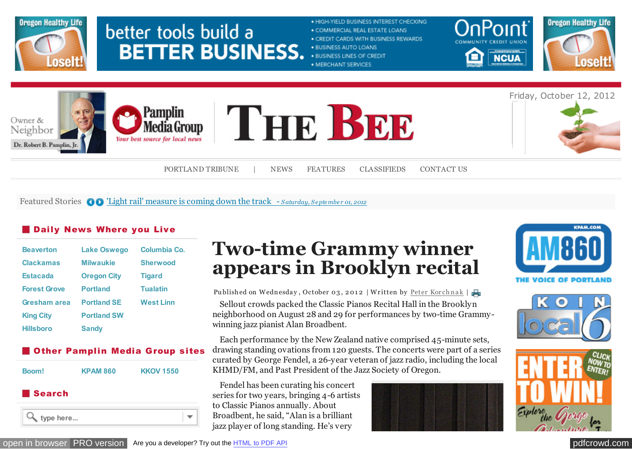

# better tools build a **BETTER BUSINESS.**

#### · HIGH-YIELD BUSINESS INTEREST CHECKING

- . COMMERCIAL REAL ESTATE LOANS
- . CREDIT CARDS WITH BUSINESS REWARDS
- · BUSINESS AUTO LOANS
- . BUSINESS LINES OF CREDIT
- · MERCHANT SERVICES





Friday, October 12, 2012





[PORTLAND TRIBUNE](http://vvvvvv.portlandtribune.com/) | [NEWS](http://vvvvvv.portlandtribune.com/the-bee-news) [FEATURES](http://vvvvvv.portlandtribune.com/the-bee-features) [CLASSIFIEDS](http://community-classifieds.com/) [CONTACT US](http://vvvvvv.portlandtribune.com/contact-us-sb)

#### Featured Stories **OD** *Light rail' measure is coming down the track - S aturday, S eptember 01, 2012*

 $\overline{\phantom{a}}$ 

#### **Daily News Where you Live**

| <b>Beaverton</b>    | <b>Lake Oswego</b> | Columbia Co.     |
|---------------------|--------------------|------------------|
| <b>Clackamas</b>    | <b>Milwaukie</b>   | <b>Sherwood</b>  |
| <b>Estacada</b>     | <b>Oregon City</b> | <b>Tigard</b>    |
| <b>Forest Grove</b> | <b>Portland</b>    | <b>Tualatin</b>  |
| Gresham area        | <b>Portland SE</b> | <b>West Linn</b> |
| <b>King City</b>    | <b>Portland SW</b> |                  |
| <b>Hillsboro</b>    | <b>Sandy</b>       |                  |

#### **Other Pamplin Media Group sites**



#### Search



## **Two-time Grammy winner appears in Brooklyn recital**

Sellout crowds packed the Classic Pianos Recital Hall in the Brooklyn neighborhood on August 28 and 29 for performances by two-time Grammywinning jazz pianist Alan Broadbent. Publishedon Wednesday, October 03, 2012 | Written by Peter Korchnak |

Each performance by the New Zealand native comprised 45-minute sets, drawing standing ovations from 120 guests. The concerts were part of a series curated by George Fendel, a 26-year veteran of jazz radio, including the local KHMD/FM, and Past President of the Jazz Society of Oregon.

Fendel has been curating his concert series for two years, bringing 4-6 artists to Classic Pianos annually. About Broadbent, he said, "Alan is a brilliant jazz player of long standing. He's very









[open in browser](http://pdfcrowd.com/redirect/?url=http%3a%2f%2fvvvvvv.portlandtribune.com%2fsb%2f75-features%2f116313-two-time-grammy-winner-appears-in-brooklyn-recital-&id=ma-121012121110-34fdf313) [PRO version](http://pdfcrowd.com/customize/) Are you a developer? Try out th[e HTML to PDF API](http://pdfcrowd.com/html-to-pdf-api/?ref=pdf) [pdfcrowd.](http://openx.pmgwebads.com/www/delivery/ck.php?oaparams=2__bannerid=1344__zoneid=284__cb=9baaa71f5f__oadest=http%3A%2F%2Fwww.emailmeform.com%2Fbuilder%2Fform%2FHc7am5WitNebeBLfb)[com](http://pdfcrowd.com)